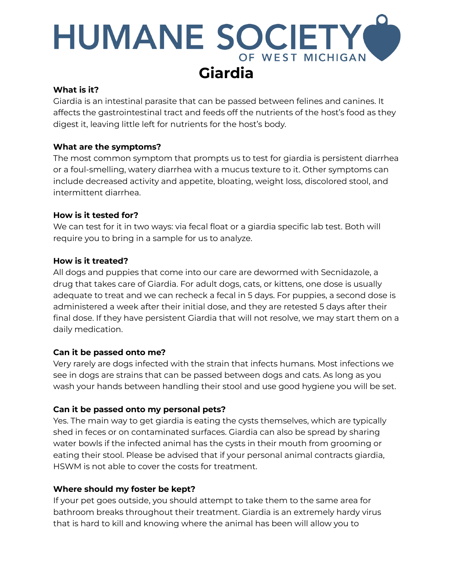# **HUMANE SOCIETY** OF WEST MICHIGAN **Giardia**

#### **What is it?**

Giardia is an intestinal parasite that can be passed between felines and canines. It affects the gastrointestinal tract and feeds off the nutrients of the host's food as they digest it, leaving little left for nutrients for the host's body.

## **What are the symptoms?**

The most common symptom that prompts us to test for giardia is persistent diarrhea or a foul-smelling, watery diarrhea with a mucus texture to it. Other symptoms can include decreased activity and appetite, bloating, weight loss, discolored stool, and intermittent diarrhea.

## **How is it tested for?**

We can test for it in two ways: via fecal float or a giardia specific lab test. Both will require you to bring in a sample for us to analyze.

## **How is it treated?**

All dogs and puppies that come into our care are dewormed with Secnidazole, a drug that takes care of Giardia. For adult dogs, cats, or kittens, one dose is usually adequate to treat and we can recheck a fecal in 5 days. For puppies, a second dose is administered a week after their initial dose, and they are retested 5 days after their final dose. If they have persistent Giardia that will not resolve, we may start them on a daily medication.

# **Can it be passed onto me?**

Very rarely are dogs infected with the strain that infects humans. Most infections we see in dogs are strains that can be passed between dogs and cats. As long as you wash your hands between handling their stool and use good hygiene you will be set.

# **Can it be passed onto my personal pets?**

Yes. The main way to get giardia is eating the cysts themselves, which are typically shed in feces or on contaminated surfaces. Giardia can also be spread by sharing water bowls if the infected animal has the cysts in their mouth from grooming or eating their stool. Please be advised that if your personal animal contracts giardia, HSWM is not able to cover the costs for treatment.

#### **Where should my foster be kept?**

If your pet goes outside, you should attempt to take them to the same area for bathroom breaks throughout their treatment. Giardia is an extremely hardy virus that is hard to kill and knowing where the animal has been will allow you to